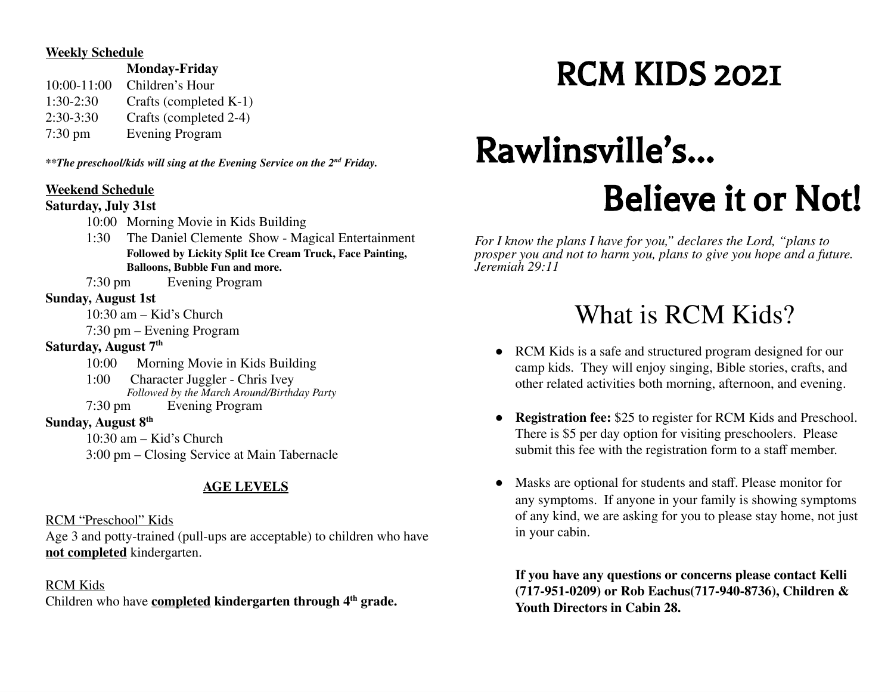#### **Weekly Schedule**

**Monday-Friday**

10:00-11:00 Children's Hour 1:30-2:30 Crafts (completed K-1) 2:30-3:30 Crafts (completed 2-4) 7:30 pm Evening Program

*\*\*The preschool/kids will sing at the Evening Service on the 2 nd Friday.*

### **Weekend Schedule**

### **Saturday, July 31st**

- 10:00 Morning Movie in Kids Building
- 1:30 The Daniel Clemente Show Magical Entertainment **Followed by Lickity Split Ice Cream Truck, Face Painting, Balloons, Bubble Fun and more.**

7:30 pm Evening Program

### **Sunday, August 1st**

10:30 am – Kid's Church

7:30 pm – Evening Program

### **Saturday, August 7 th**

- 10:00 Morning Movie in Kids Building
- 1:00 Character Juggler Chris Ivey *Followed by the March Around/Birthday Party*<br>7:30 pm **Evening Program** Evening Program
- **Sunday, August 8 th**

10:30 am – Kid's Church

3:00 pm – Closing Service at Main Tabernacle

### **AGE LEVELS**

RCM "Preschool" Kids

Age 3 and potty-trained (pull-ups are acceptable) to children who have **not completed** kindergarten.

### RCM Kids

Children who have **completed kindergarten through 4 th grade.**

## RCM KIDS 2021

# Rawlinsville's… Believe it or Not!

*For I know the plans I have for you," declares the Lord, "plans to prosper you and not to harm you, plans to give you hope and a future. Jeremiah 29:11*

### What is RCM Kids?

- RCM Kids is a safe and structured program designed for our camp kids. They will enjoy singing, Bible stories, crafts, and other related activities both morning, afternoon, and evening.
- **Registration fee:** \$25 to register for RCM Kids and Preschool. There is \$5 per day option for visiting preschoolers. Please submit this fee with the registration form to a staff member.
- Masks are optional for students and staff. Please monitor for any symptoms. If anyone in your family is showing symptoms of any kind, we are asking for you to please stay home, not just in your cabin.

**If you have any questions or concerns please contact Kelli (717-951-0209) or Rob Eachus(717-940-8736), Children & Youth Directors in Cabin 28.**